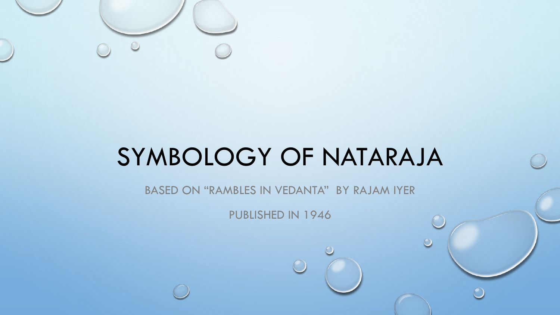

BASED ON "RAMBLES IN VEDANTA" BY RAJAM IYER

PUBLISHED IN 1946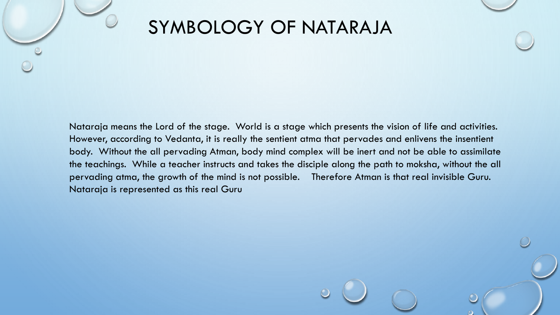Nataraja means the Lord of the stage. World is a stage which presents the vision of life and activities. However, according to Vedanta, it is really the sentient atma that pervades and enlivens the insentient body. Without the all pervading Atman, body mind complex will be inert and not be able to assimilate the teachings. While a teacher instructs and takes the disciple along the path to moksha, without the all pervading atma, the growth of the mind is not possible. Therefore Atman is that real invisible Guru. Nataraja is represented as this real Guru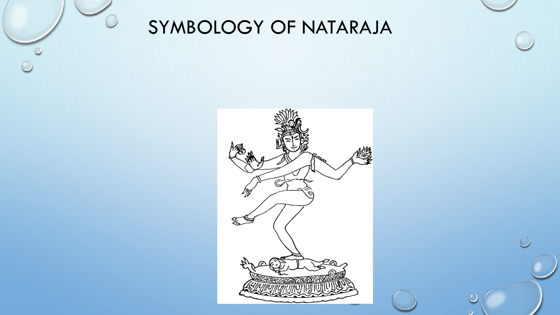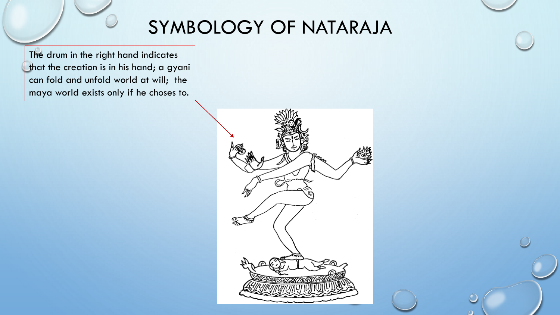The drum in the right hand indicates that the creation is in his hand; a gyani can fold and unfold world at will; the maya world exists only if he choses to.

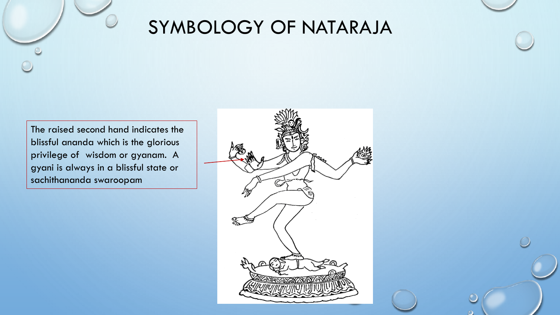The raised second hand indicates the blissful ananda which is the glorious privilege of wisdom or gyanam. A gyani is always in a blissful state or sachithananda swaroopam

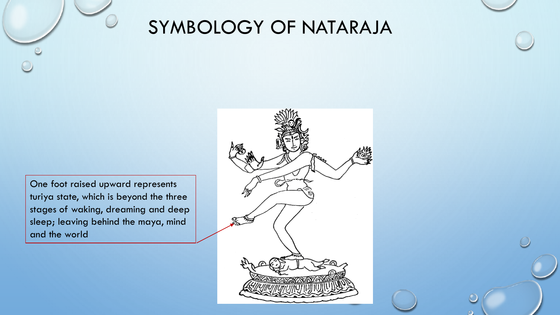One foot raised upward represents turiya state, which is beyond the three stages of waking, dreaming and deep sleep; leaving behind the maya, mind and the world

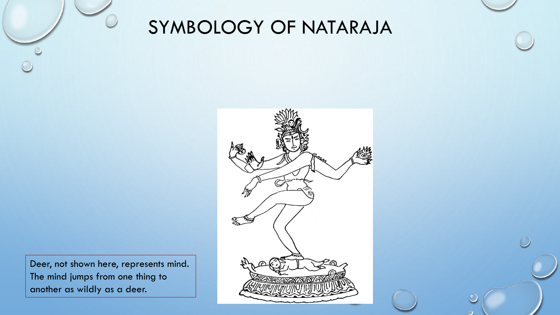

Deer, not shown here, represents mind. The mind jumps from one thing to another as wildly as a deer.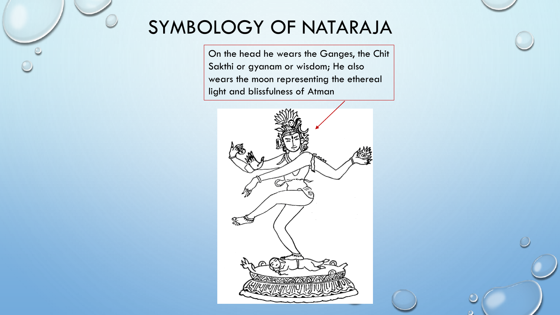On the head he wears the Ganges, the Chit Sakthi or gyanam or wisdom; He also wears the moon representing the ethereal light and blissfulness of Atman

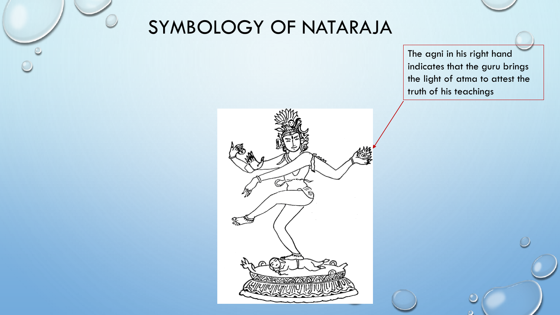The agni in his right hand indicates that the guru brings the light of atma to attest the truth of his teachings

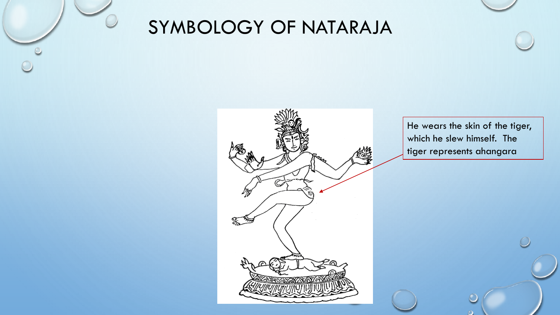

He wears the skin of the tiger, which he slew himself. The tiger represents ahangara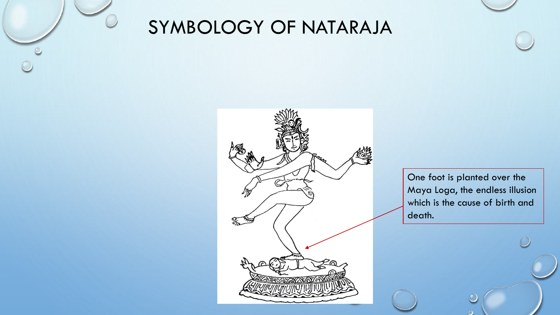

One foot is planted over the Maya Loga, the endless illusion which is the cause of birth and death.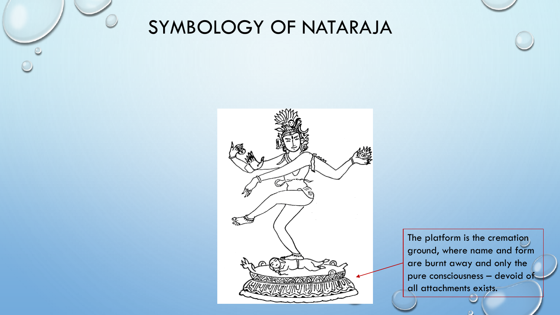

The platform is the cremation ground, where name and form are burnt away and only the pure consciousness – devoid of all attachments exists.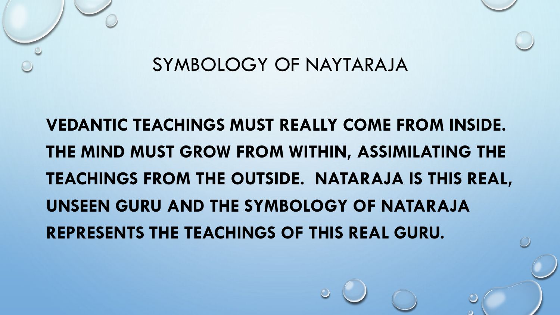

# **VEDANTIC TEACHINGS MUST REALLY COME FROM INSIDE. THE MIND MUST GROW FROM WITHIN, ASSIMILATING THE TEACHINGS FROM THE OUTSIDE. NATARAJA IS THIS REAL, UNSEEN GURU AND THE SYMBOLOGY OF NATARAJA REPRESENTS THE TEACHINGS OF THIS REAL GURU.**